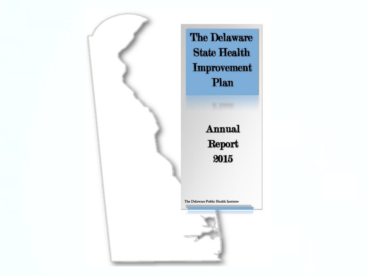

The Delaware **State Health Improvement** Plan

> Annual Report 2015

The Delaware Public Health Institute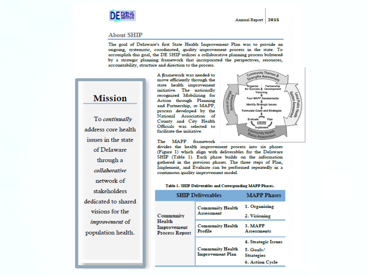

#### **About SHIP**

The goal of Delaware's first State Health Improvement Plan was to provide an ongoing, systematic, coordinated, quality improvement process in the state. To accomplish this goal, the DE SHIP utilizes a collaborative planning process bolstered by a strategic planning framework that incorporated the perspectives, resources, accountability, structure and direction to the process.



To continually address core health issues in the state of Delaware through a collaborative network of stakeholders dedicated to shared visions for the improvement of population health.

A framework was needed to move efficiently through the state health improvement initiative. The nationally recognized Mobilizing for Action through Planning and Partnership, or MAPP, process developed by the National Association of County and City Health Officials was selected to facilitate the initiative.

The MAPP framework



divides the health improvement process into six phases (Figure 1) which align with deliverables for the Delaware SHIP (Table 1). Each phase builds on the information gathered in the previous phases. The three steps of Plan, Implement, and Evaluate can be performed repeatedly in a continuous quality improvement model.

#### Table 1. SHIP Deliverables and Corresponding MAPP Phases.

| <b>SHIP Deliverables</b>                                    | <b>MAPP Phases</b>                                 |                                                                          |  |  |  |  |  |  |
|-------------------------------------------------------------|----------------------------------------------------|--------------------------------------------------------------------------|--|--|--|--|--|--|
| Community<br>Health<br>Improvement<br><b>Process Report</b> | <b>Community Health</b><br>Assessment              | 1. Organizing<br>2. Visioning                                            |  |  |  |  |  |  |
|                                                             | <b>Community Health</b><br>Profile                 | 3. MAPP<br>Assessments                                                   |  |  |  |  |  |  |
|                                                             | <b>Community Health</b><br><b>Improvement Plan</b> | 4. Strategic Issues<br>5. Goals/<br><b>Strategies</b><br>6. Action Cycle |  |  |  |  |  |  |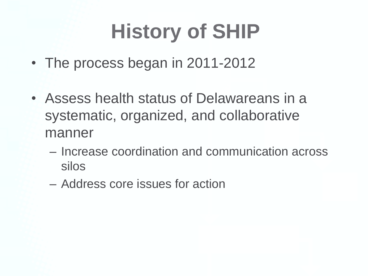# **History of SHIP**

- The process began in 2011-2012
- Assess health status of Delawareans in a systematic, organized, and collaborative manner
	- Increase coordination and communication across silos
	- Address core issues for action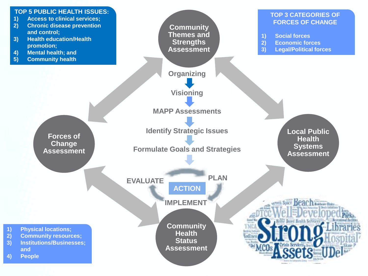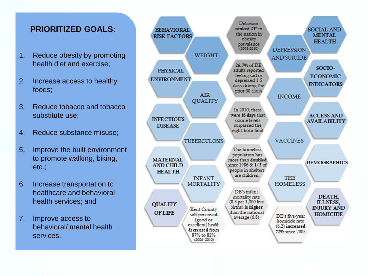#### **PRIORITIZED GOALS:**

- 1. Reduce obesity by promoting health diet and exercise;
- 2. Increase access to healthy foods;
- 3. Reduce tobacco and tobacco substitute use;
- 4. Reduce substance misuse;
- 5. Improve the built environment to promote walking, biking, etc.;
- 6. Increase transportation to healthcare and behavioral health services; and
- 7. Improve access to behavioral/ mental health services.

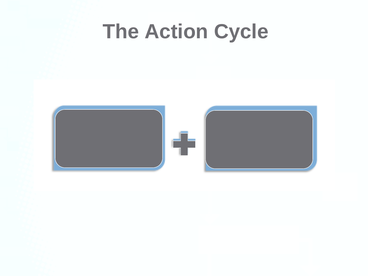### **The Action Cycle**

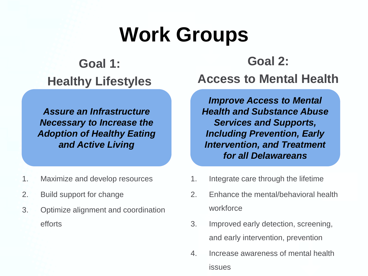# **Work Groups**

#### **Goal 1: Healthy Lifestyles**

*Assure an Infrastructure Necessary to Increase the Adoption of Healthy Eating and Active Living*

- 1. Maximize and develop resources
- 2. Build support for change
- 3. Optimize alignment and coordination efforts

**Goal 2: Access to Mental Health** 

*Improve Access to Mental Health and Substance Abuse Services and Supports, Including Prevention, Early Intervention, and Treatment for all Delawareans*

- 1. Integrate care through the lifetime
- 2. Enhance the mental/behavioral health workforce
- 3. Improved early detection, screening, and early intervention, prevention
- 4. Increase awareness of mental health issues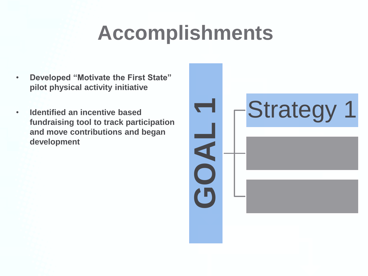- **Developed "Motivate the First State" pilot physical activity initiative**
- **Identified an incentive based fundraising tool to track participation and move contributions and began development**

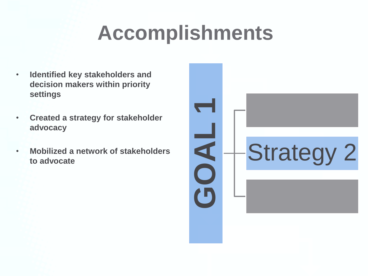- **Identified key stakeholders and decision makers within priority settings**
- **Created a strategy for stakeholder advocacy**
- **Mobilized a network of stakeholders to advocate**

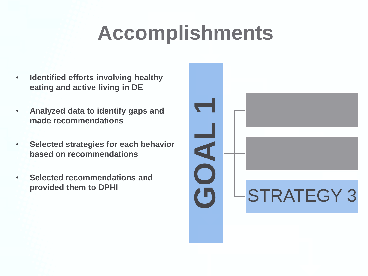- **Identified efforts involving healthy eating and active living in DE**
- **Analyzed data to identify gaps and made recommendations**
- **Selected strategies for each behavior based on recommendations**
- **Selected recommendations and provided them to DPHI**

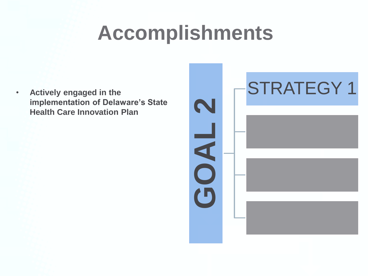• **Actively engaged in the implementation of Delaware's State Health Care Innovation Plan**

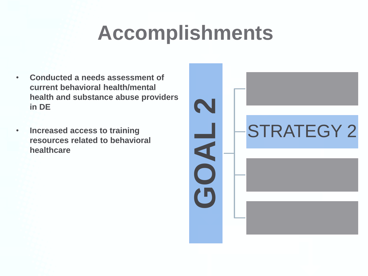- **Conducted a needs assessment of current behavioral health/mental health and substance abuse providers in DE**
- **Increased access to training resources related to behavioral healthcare**

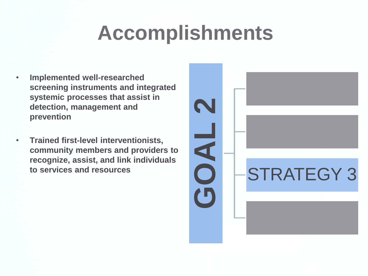- **Implemented well-researched screening instruments and integrated systemic processes that assist in detection, management and prevention**
- **Trained first-level interventionists, community members and providers to recognize, assist, and link individuals to services and resources**

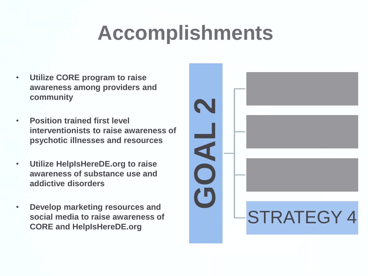- **Utilize CORE program to raise awareness among providers and community**
- **Position trained first level interventionists to raise awareness of psychotic illnesses and resources**
- **Utilize HelpIsHereDE.org to raise awareness of substance use and addictive disorders**
- **Develop marketing resources and social media to raise awareness of CORE and HelpIsHereDE.org**

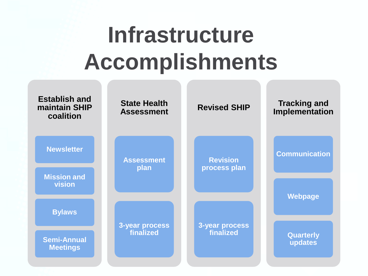# **Infrastructure Accomplishments**

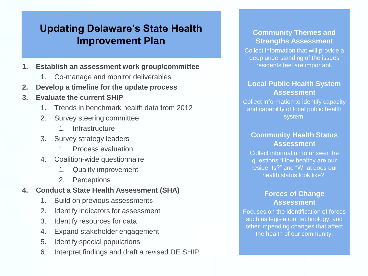#### **Updating Delaware's State Health Improvement Plan**

- **1. Establish an assessment work group/committee**
	- 1. Co-manage and monitor deliverables
- **2. Develop a timeline for the update process**
- **3. Evaluate the current SHIP**
	- 1. Trends in benchmark health data from 2012
	- 2. Survey steering committee
		- 1. Infrastructure
	- 3. Survey strategy leaders
		- 1. Process evaluation
	- 4. Coalition-wide questionnaire
		- 1. Quality improvement
		- 2. Perceptions

#### **4. Conduct a State Health Assessment (SHA)**

- 1. Build on previous assessments
- 2. Identify indicators for assessment
- 3. Identify resources for data
- 4. Expand stakeholder engagement
- 5. Identify special populations
- 6. Interpret findings and draft a revised DE SHIP

#### **Community Themes and Strengths Assessment**

Collect information that will provide a deep understanding of the issues residents feel are important.

#### **Local Public Health System Assessment**

Collect information to identify capacity and capability of local public health system.

#### **Community Health Status Assessment**

Collect information to answer the questions "How healthy are our residents?" and "What does our health status look like?"

#### **Forces of Change Assessment**

Focuses on the identification of forces such as legislation, technology, and other impending changes that affect the health of our community.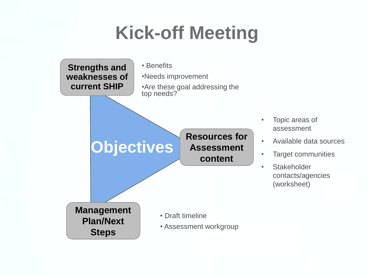#### **Kick-off Meeting**

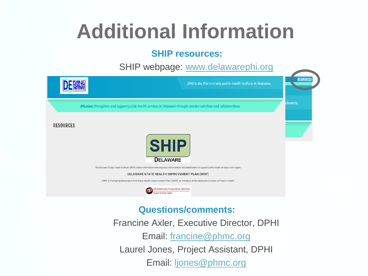### **Additional Information**

#### **SHIP resources:**

SHIP webpage: [www.delawarephi.org](http://www.delawarephi.org/)

|                  | DPHI is the first and only public health institute in Delaware.                                                                                                                                                                                                                                                                                                                                                                                             | <b>RESOURCES</b> |
|------------------|-------------------------------------------------------------------------------------------------------------------------------------------------------------------------------------------------------------------------------------------------------------------------------------------------------------------------------------------------------------------------------------------------------------------------------------------------------------|------------------|
|                  | Mission: Strengthen and support public health services in Delaware through creative solutions and collaborations.                                                                                                                                                                                                                                                                                                                                           | elaware.         |
| <b>RESOURCES</b> | <b>SHIP</b><br><b>DELAWARE</b><br>The Delaware Public Health Institute (DPHI) shares information and resources with members and stakeholders to support public health services in the region.<br>DELAWARE STATE HEALTH IMPROVEMENT PLAN (SHIP)<br>DHPI is managing Delaware's first State Health Improvement Plan (SHIP), an initiative of the Delaware Division of Public Health.<br><b>JELAWARE HEALTH AND SOCIAL SERVICES</b><br>vision of Public Health |                  |

#### **Questions/comments:**

Francine Axler, Executive Director, DPHI Email: [francine@phmc.org](mailto:francine@phmc.org) Laurel Jones, Project Assistant, DPHI Email: [ljones@phmc.org](mailto:ljones@phmc.org)